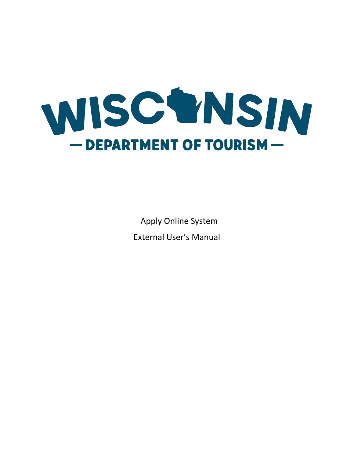

Apply Online System External User's Manual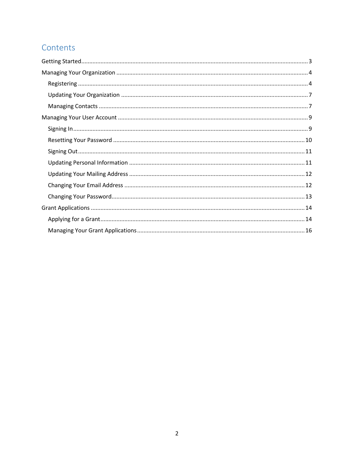# Contents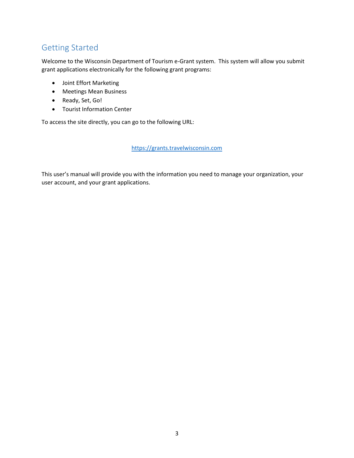# <span id="page-2-0"></span>Getting Started

Welcome to the Wisconsin Department of Tourism e-Grant system. This system will allow you submit grant applications electronically for the following grant programs:

- Joint Effort Marketing
- Meetings Mean Business
- Ready, Set, Go!
- Tourist Information Center

To access the site directly, you can go to the following URL:

[https://grants.travelwisconsin.com](https://grants.travelwisconsin.com/)

This user's manual will provide you with the information you need to manage your organization, your user account, and your grant applications.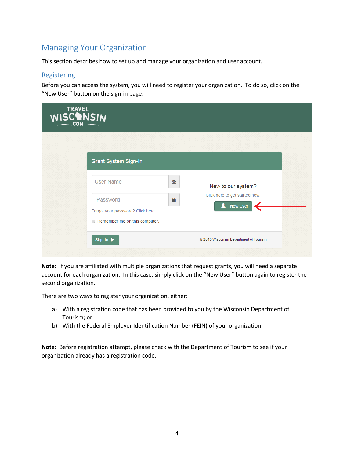# <span id="page-3-0"></span>Managing Your Organization

This section describes how to set up and manage your organization and user account.

#### <span id="page-3-1"></span>Registering

Before you can access the system, you will need to register your organization. To do so, click on the "New User" button on the sign-in page:

| <b>TRAVEL</b><br>WISCONSIN |                                                                           |                                                      |  |
|----------------------------|---------------------------------------------------------------------------|------------------------------------------------------|--|
|                            | <b>Grant System Sign-In</b>                                               |                                                      |  |
|                            | <b>User Name</b><br>X<br>Δ<br>Password                                    | New to our system?<br>Click here to get started now. |  |
|                            | Forgot your password? Click here.<br>$\Box$ Remember me on this computer. | <b>A</b> New User                                    |  |
|                            | Sign In ▶                                                                 | @ 2015 Wisconsin Department of Tourism               |  |

**Note:** If you are affiliated with multiple organizations that request grants, you will need a separate account for each organization. In this case, simply click on the "New User" button again to register the second organization.

There are two ways to register your organization, either:

- a) With a registration code that has been provided to you by the Wisconsin Department of Tourism; or
- b) With the Federal Employer Identification Number (FEIN) of your organization.

**Note:** Before registration attempt, please check with the Department of Tourism to see if your organization already has a registration code.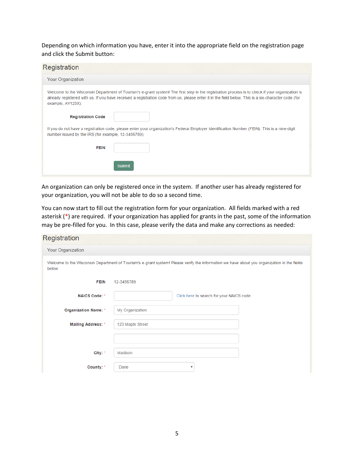Depending on which information you have, enter it into the appropriate field on the registration page and click the Submit button:

| Registration                                                                                                                                                                                                                                                                                                                |
|-----------------------------------------------------------------------------------------------------------------------------------------------------------------------------------------------------------------------------------------------------------------------------------------------------------------------------|
| Your Organization                                                                                                                                                                                                                                                                                                           |
| Welcome to the Wisconsin Department of Tourism's e-grant system! The first step in the registration process is to check if your organization is<br>already registered with us. If you have received a registration code from us, please enter it in the field below. This is a six-character code (for<br>example, AY123X): |
| <b>Registration Code</b>                                                                                                                                                                                                                                                                                                    |
| If you do not have a registration code, please enter your organization's Federal Employer Identification Number (FEIN). This is a nine-digit<br>number issued by the IRS (for example, 12-3456789):                                                                                                                         |
| <b>FEIN</b>                                                                                                                                                                                                                                                                                                                 |
| Submit                                                                                                                                                                                                                                                                                                                      |

An organization can only be registered once in the system. If another user has already registered for your organization, you will not be able to do so a second time.

You can now start to fill out the registration form for your organization. All fields marked with a red asterisk (\*) are required. If your organization has applied for grants in the past, some of the information may be pre-filled for you. In this case, please verify the data and make any corrections as needed:

#### Registration

| <b>Your Organization</b> |                                                                                                                                             |  |  |  |  |  |
|--------------------------|---------------------------------------------------------------------------------------------------------------------------------------------|--|--|--|--|--|
| below:                   | Welcome to the Wisconsin Department of Tourism's e-grant system! Please verify the information we have about you organization in the fields |  |  |  |  |  |
| <b>FEIN</b>              | 12-3456789                                                                                                                                  |  |  |  |  |  |
| <b>NAICS Code: *</b>     | Click here to search for your NAICS code.                                                                                                   |  |  |  |  |  |
| Organization Name: *     | My Organization                                                                                                                             |  |  |  |  |  |
| Mailing Address: *       | 123 Maple Street                                                                                                                            |  |  |  |  |  |
|                          |                                                                                                                                             |  |  |  |  |  |
| City: *                  | Madison                                                                                                                                     |  |  |  |  |  |
| County: *                | Dane<br>$\overline{\mathbf v}$                                                                                                              |  |  |  |  |  |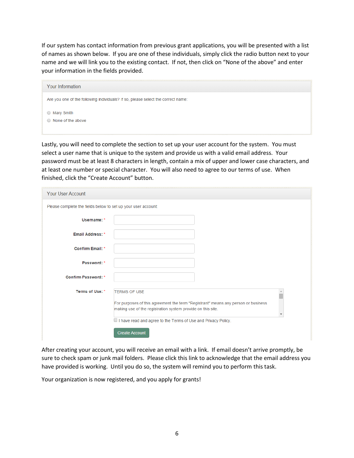If our system has contact information from previous grant applications, you will be presented with a list of names as shown below. If you are one of these individuals, simply click the radio button next to your name and we will link you to the existing contact. If not, then click on "None of the above" and enter your information in the fields provided.

| Your Information                                                                 |  |
|----------------------------------------------------------------------------------|--|
| Are you one of the following individuals? If so, please select the correct name: |  |
| ◯ Mary Smith<br>$\odot$ None of the above                                        |  |

Lastly, you will need to complete the section to set up your user account for the system. You must select a user name that is unique to the system and provide us with a valid email address. Your password must be at least 8 characters in length, contain a mix of upper and lower case characters, and at least one number or special character. You will also need to agree to our terms of use. When finished, click the "Create Account" button.

| Your User Account                                             |                                                                                                                                                                         |  |
|---------------------------------------------------------------|-------------------------------------------------------------------------------------------------------------------------------------------------------------------------|--|
| Please complete the fields below to set up your user account: |                                                                                                                                                                         |  |
| Username: *                                                   |                                                                                                                                                                         |  |
| Email Address: *                                              |                                                                                                                                                                         |  |
| Confirm Email: *                                              |                                                                                                                                                                         |  |
| Password: *                                                   |                                                                                                                                                                         |  |
| <b>Confirm Password: *</b>                                    |                                                                                                                                                                         |  |
| Terms of Use: *                                               | <b>TERMS OF USE</b><br>For purposes of this agreement the term "Registrant" means any person or business<br>making use of the registration system provide on this site. |  |
|                                                               | I have read and agree to the Terms of Use and Privacy Policy.<br><b>Create Account</b>                                                                                  |  |

After creating your account, you will receive an email with a link. If email doesn't arrive promptly, be sure to check spam or junk mail folders. Please click this link to acknowledge that the email address you have provided is working. Until you do so, the system will remind you to perform this task.

Your organization is now registered, and you apply for grants!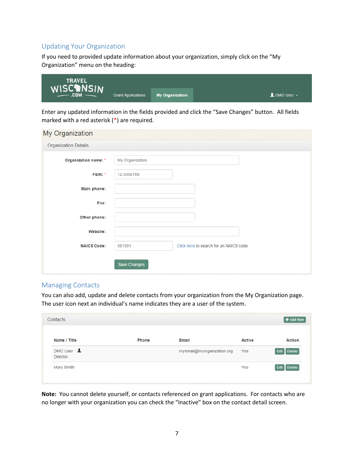### <span id="page-6-0"></span>Updating Your Organization

If you need to provided update information about your organization, simply click on the "My Organization" menu on the heading:

| <b>TRAVEL</b> |                           |                        |                                               |
|---------------|---------------------------|------------------------|-----------------------------------------------|
| WISCOM NSIN   | <b>Grant Applications</b> | <b>My Organization</b> | $\blacksquare$ DMO User $\blacktriangleright$ |

Enter any updated information in the fields provided and click the "Save Changes" button. All fields marked with a red asterisk (\*) are required.

| My Organization             |                     |                                         |  |
|-----------------------------|---------------------|-----------------------------------------|--|
| <b>Organization Details</b> |                     |                                         |  |
| Organization name: *        | My Organization     |                                         |  |
| FEIN: *                     | 12-3456789          |                                         |  |
| Main phone:                 |                     |                                         |  |
| Fax:                        |                     |                                         |  |
| Other phone:                |                     |                                         |  |
| Website:                    |                     |                                         |  |
| <b>NAICS Code:</b>          | 561591              | Click here to search for an NAICS code. |  |
|                             | <b>Save Changes</b> |                                         |  |

#### <span id="page-6-1"></span>Managing Contacts

You can also add, update and delete contacts from your organization from the My Organization page. The user icon next an individual's name indicates they are a user of the system.

| Contacts                                                      |              |                            |               | + Add New             |
|---------------------------------------------------------------|--------------|----------------------------|---------------|-----------------------|
| Name / Title                                                  | <b>Phone</b> | <b>Email</b>               | <b>Active</b> | <b>Action</b>         |
| DMO User $\mathbf{\mathbf{\underline{P}}}$<br><b>Director</b> |              | myemail@myorganization.org | Yes           | <b>Delete</b><br>Edit |
| Mary Smith                                                    |              |                            | Yes           | Edit<br><b>Delete</b> |

**Note:** You cannot delete yourself, or contacts referenced on grant applications. For contacts who are no longer with your organization you can check the "Inactive" box on the contact detail screen.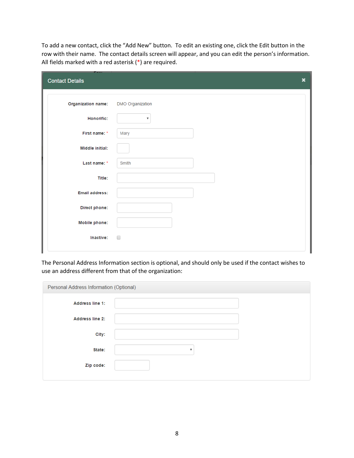To add a new contact, click the "Add New" button. To edit an existing one, click the Edit button in the row with their name. The contact details screen will appear, and you can edit the person's information. All fields marked with a red asterisk (\*) are required.

| <b>Pass</b><br><b>Contact Details</b> | ×                         |
|---------------------------------------|---------------------------|
| Organization name:                    | DMO Organization          |
| Honorific:                            | $\boldsymbol{\mathrm{v}}$ |
| First name: *                         | Mary                      |
| Middle initial:                       |                           |
| Last name: *                          | Smith                     |
| Title:                                |                           |
| <b>Email address:</b>                 |                           |
| Direct phone:                         |                           |
| <b>Mobile phone:</b>                  |                           |
| Inactive:                             | $\Box$                    |
|                                       |                           |

The Personal Address Information section is optional, and should only be used if the contact wishes to use an address different from that of the organization:

| Personal Address Information (Optional) |                         |  |  |  |  |
|-----------------------------------------|-------------------------|--|--|--|--|
| <b>Address line 1:</b>                  |                         |  |  |  |  |
| <b>Address line 2:</b>                  |                         |  |  |  |  |
| City:                                   |                         |  |  |  |  |
| State:                                  | $\overline{\mathbf{v}}$ |  |  |  |  |
| Zip code:                               |                         |  |  |  |  |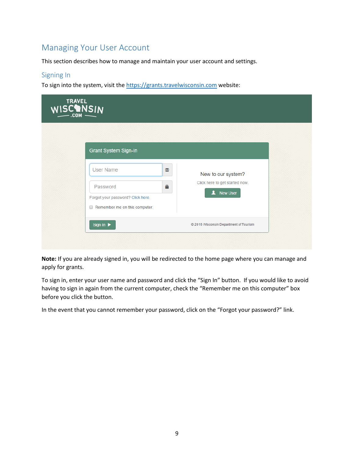# <span id="page-8-0"></span>Managing Your User Account

This section describes how to manage and maintain your user account and settings.

#### <span id="page-8-1"></span>Signing In

To sign into the system, visit the [https://grants.travelwisconsin.com](https://grants.travelwisconsin.com/) website:

| <b>TRAVEL</b><br>WISCONSIN |                                                                                                                     |                                                                              |  |
|----------------------------|---------------------------------------------------------------------------------------------------------------------|------------------------------------------------------------------------------|--|
|                            | <b>Grant System Sign-In</b>                                                                                         |                                                                              |  |
|                            | <b>User Name</b><br>Χ<br>Δ<br>Password<br>Forgot your password? Click here.<br>$\Box$ Remember me on this computer. | New to our system?<br>Click here to get started now.<br><b>New User</b><br>п |  |
|                            | Sign In                                                                                                             | © 2016 Wisconsin Department of Tourism                                       |  |

**Note:** If you are already signed in, you will be redirected to the home page where you can manage and apply for grants.

To sign in, enter your user name and password and click the "Sign In" button. If you would like to avoid having to sign in again from the current computer, check the "Remember me on this computer" box before you click the button.

In the event that you cannot remember your password, click on the "Forgot your password?" link.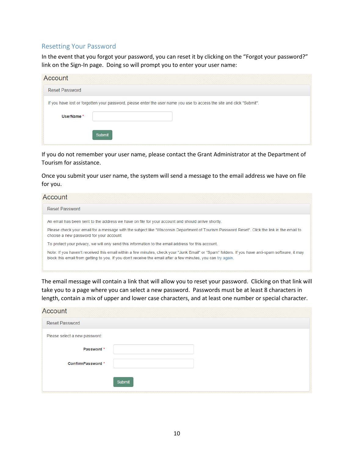#### <span id="page-9-0"></span>Resetting Your Password

In the event that you forgot your password, you can reset it by clicking on the "Forgot your password?" link on the Sign-In page. Doing so will prompt you to enter your user name:

| Account               |                                                                                                                        |
|-----------------------|------------------------------------------------------------------------------------------------------------------------|
| <b>Reset Password</b> |                                                                                                                        |
|                       | If you have lost or forgotten your password, please enter the user name you use to access the site and click "Submit". |
| UserName *            |                                                                                                                        |
|                       | Submit                                                                                                                 |

If you do not remember your user name, please contact the Grant Administrator at the Department of Tourism for assistance.

Once you submit your user name, the system will send a message to the email address we have on file for you.

| Account                                                                                                                                                                                                                                                          |  |
|------------------------------------------------------------------------------------------------------------------------------------------------------------------------------------------------------------------------------------------------------------------|--|
| <b>Reset Password</b>                                                                                                                                                                                                                                            |  |
| An email has been sent to the address we have on file for your account and should arrive shortly.                                                                                                                                                                |  |
| Please check your email for a message with the subject like "Wisconsin Department of Tourism Password Reset". Click the link in the email to<br>choose a new password for your account.                                                                          |  |
| To protect your privacy, we will only send this information to the email address for this account.                                                                                                                                                               |  |
| Note: If you haven't received this email within a few minutes, check your "Junk Email" or "Spam" folders. If you have anti-spam software, it may<br>block this email from getting to you. If you don't receive the email after a few minutes, you can try again. |  |

The email message will contain a link that will allow you to reset your password. Clicking on that link will take you to a page where you can select a new password. Passwords must be at least 8 characters in length, contain a mix of upper and lower case characters, and at least one number or special character.

| Account                       |        |
|-------------------------------|--------|
| <b>Reset Password</b>         |        |
| Please select a new password: |        |
| Password *                    |        |
| ConfirmPassword *             |        |
|                               | Submit |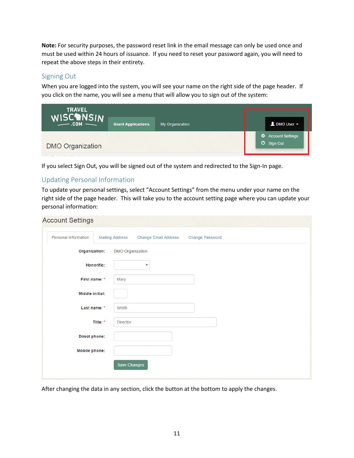**Note:** For security purposes, the password reset link in the email message can only be used once and must be used within 24 hours of issuance. If you need to reset your password again, you will need to repeat the above steps in their entirety.

### <span id="page-10-0"></span>Signing Out

When you are logged into the system, you will see your name on the right side of the page header. If you click on the name, you will see a menu that will allow you to sign out of the system:

| <b>TRAVEL</b>           |                           |                 |                                                |
|-------------------------|---------------------------|-----------------|------------------------------------------------|
| WISCOMSIN               | <b>Grant Applications</b> | My Organization | $\triangle$ DMO User $\sim$                    |
|                         |                           |                 | <b><math>\clubsuit</math></b> Account Settings |
| <b>DMO Organization</b> |                           |                 | $\bullet$ Sign Out                             |

If you select Sign Out, you will be signed out of the system and redirected to the Sign-In page.

# <span id="page-10-1"></span>Updating Personal Information

To update your personal settings, select "Account Settings" from the menu under your name on the right side of the page header. This will take you to the account setting page where you can update your personal information:

| <b>Account Settings</b>     |                                                                          |
|-----------------------------|--------------------------------------------------------------------------|
| <b>Personal Information</b> | <b>Mailing Address</b><br><b>Change Email Address</b><br>Change Password |
| Organization:               | DMO Organization                                                         |
| Honorific:                  | $\boldsymbol{\mathrm{v}}$                                                |
| First name: *               | Mary                                                                     |
| Middle initial:             |                                                                          |
| Last name: *                | Smith                                                                    |
| Title: *                    | <b>Director</b>                                                          |
| Direct phone:               |                                                                          |
| <b>Mobile phone:</b>        |                                                                          |
|                             | Save Changes                                                             |
|                             |                                                                          |

After changing the data in any section, click the button at the bottom to apply the changes.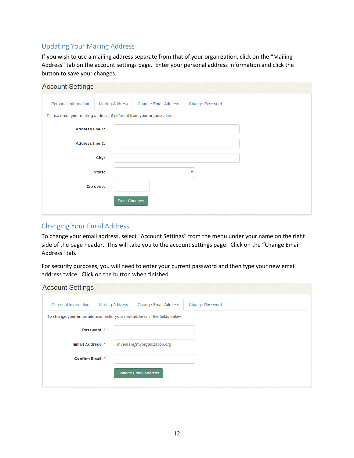## <span id="page-11-0"></span>Updating Your Mailing Address

If you wish to use a mailing address separate from that of your organization, click on the "Mailing Address" tab on the account settings page. Enter your personal address information and click the button to save your changes.

| <b>Account Settings</b>                                                 |                        |                             |                 |
|-------------------------------------------------------------------------|------------------------|-----------------------------|-----------------|
| <b>Personal Information</b>                                             | <b>Mailing Address</b> | <b>Change Email Address</b> | Change Password |
| Please enter your mailing address, if different from your organization: |                        |                             |                 |
| <b>Address line 1:</b>                                                  |                        |                             |                 |
| <b>Address line 2:</b>                                                  |                        |                             |                 |
|                                                                         | City:                  |                             |                 |
|                                                                         | State:                 |                             | ¥               |
|                                                                         | Zip code:              |                             |                 |
|                                                                         | Save Changes           |                             |                 |
|                                                                         |                        |                             |                 |

#### <span id="page-11-1"></span>Changing Your Email Address

To change your email address, select "Account Settings" from the menu under your name on the right side of the page header. This will take you to the account settings page. Click on the "Change Email Address" tab.

For security purposes, you will need to enter your current password and then type your new email address twice. Click on the button when finished.

| <b>Account Settings</b> |                        |                                                                           |                        |
|-------------------------|------------------------|---------------------------------------------------------------------------|------------------------|
| Personal Information    | <b>Mailing Address</b> | Change Email Address                                                      | <b>Change Password</b> |
|                         |                        | To change your email address, enter your new address in the fields below: |                        |
| Password: *             |                        |                                                                           |                        |
| <b>Email Address: *</b> |                        | myemail@myorganization.org                                                |                        |
| <b>Confirm Email: *</b> |                        |                                                                           |                        |
|                         |                        | <b>Change Email Address</b>                                               |                        |
|                         |                        |                                                                           |                        |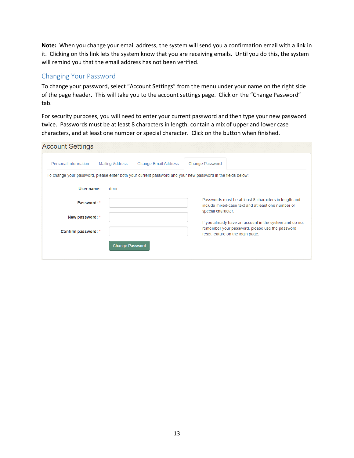**Note:** When you change your email address, the system will send you a confirmation email with a link in it. Clicking on this link lets the system know that you are receiving emails. Until you do this, the system will remind you that the email address has not been verified.

### <span id="page-12-0"></span>Changing Your Password

To change your password, select "Account Settings" from the menu under your name on the right side of the page header. This will take you to the account settings page. Click on the "Change Password" tab.

For security purposes, you will need to enter your current password and then type your new password twice. Passwords must be at least 8 characters in length, contain a mix of upper and lower case characters, and at least one number or special character. Click on the button when finished.

| <b>Account Settings</b> |                        |                             |                                                                                                                                                |
|-------------------------|------------------------|-----------------------------|------------------------------------------------------------------------------------------------------------------------------------------------|
| Personal Information    | <b>Mailing Address</b> | <b>Change Email Address</b> | <b>Change Password</b>                                                                                                                         |
|                         |                        |                             | To change your password, please enter both your current password and your new password in the fields below:                                    |
| User name:              | dmo                    |                             |                                                                                                                                                |
| Password: *             |                        |                             | Passwords must be at least 8 characters in length and<br>include mixed-case text and at least one number or<br>special character.              |
| New password: *         |                        |                             |                                                                                                                                                |
| Confirm password: *     |                        |                             | If you already have an account in the system and do not<br>remember your password, please use the password<br>reset feature on the login page. |
|                         | <b>Change Password</b> |                             |                                                                                                                                                |
|                         |                        |                             |                                                                                                                                                |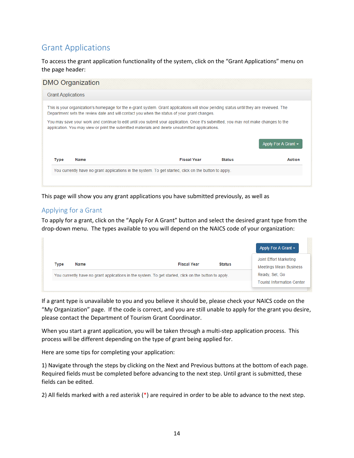# <span id="page-13-0"></span>Grant Applications

To access the grant application functionality of the system, click on the "Grant Applications" menu on the page header:

|                           | <b>DMO Organization</b>                                                                                                                                                                                                                |  |                          |
|---------------------------|----------------------------------------------------------------------------------------------------------------------------------------------------------------------------------------------------------------------------------------|--|--------------------------|
| <b>Grant Applications</b> |                                                                                                                                                                                                                                        |  |                          |
|                           | This is your organization's homepage for the e-grant system. Grant applications will show pending status until they are reviewed. The<br>Department sets the review date and will contact you when the status of your grant changes.   |  |                          |
|                           |                                                                                                                                                                                                                                        |  |                          |
|                           | You may save your work and continue to edit until you submit your application. Once it's submitted, you may not make changes to the<br>application. You may view or print the submitted materials and delete unsubmitted applications. |  |                          |
|                           |                                                                                                                                                                                                                                        |  | Apply For A Grant $\sim$ |

This page will show you any grant applications you have submitted previously, as well as

### <span id="page-13-1"></span>Applying for a Grant

a.

To apply for a grant, click on the "Apply For A Grant" button and select the desired grant type from the drop-down menu. The types available to you will depend on the NAICS code of your organization:

|      |      |                                                                                                       |               | Joint Effort Marketing        |
|------|------|-------------------------------------------------------------------------------------------------------|---------------|-------------------------------|
| Type | Name | <b>Fiscal Year</b>                                                                                    | <b>Status</b> | <b>Meetings Mean Business</b> |
|      |      | You currently have no grant applications in the system. To get started, click on the button to apply. |               | Ready, Set, Go                |

If a grant type is unavailable to you and you believe it should be, please check your NAICS code on the "My Organization" page. If the code is correct, and you are still unable to apply for the grant you desire, please contact the Department of Tourism Grant Coordinator.

When you start a grant application, you will be taken through a multi-step application process. This process will be different depending on the type of grant being applied for.

Here are some tips for completing your application:

1) Navigate through the steps by clicking on the Next and Previous buttons at the bottom of each page. Required fields must be completed before advancing to the next step. Until grant is submitted, these fields can be edited.

2) All fields marked with a red asterisk (\*) are required in order to be able to advance to the next step.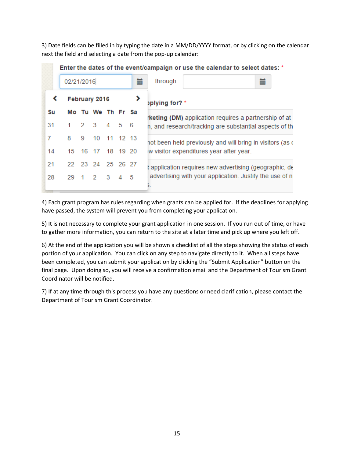3) Date fields can be filled in by typing the date in a MM/DD/YYYY format, or by clicking on the calendar next the field and selecting a date from the pop-up calendar:

|    |   |            |                   |             |  |     | Enter the dates of the event/campaign or use the calendar to select dates: * |
|----|---|------------|-------------------|-------------|--|-----|------------------------------------------------------------------------------|
|    |   | 02/21/2016 |                   |             |  | 萹   | through                                                                      |
|    |   |            | February 2016     |             |  |     | oplying for? *                                                               |
| Su |   |            | Mo Tu We Th Fr Sa |             |  |     | <b>rketing (DM)</b> application requires a partnership of at                 |
| 31 |   |            | 2 3 4 5 6         |             |  |     | h, and research/tracking are substantial aspects of th                       |
| 7  | 8 | 9          |                   | 10 11 12 13 |  |     | not been held previously and will bring in visitors (as o                    |
| 14 |   |            | 15 16 17 18 19 20 |             |  |     | w visitor expenditures year after year.                                      |
| 21 |   |            | 22 23 24 25 26 27 |             |  |     | application requires new advertising (geographic, de                         |
| 28 |   |            | 29 1 2 3 4        |             |  | - 5 | advertising with your application. Justify the use of n                      |

4) Each grant program has rules regarding when grants can be applied for. If the deadlines for applying have passed, the system will prevent you from completing your application.

5) It is not necessary to complete your grant application in one session. If you run out of time, or have to gather more information, you can return to the site at a later time and pick up where you left off.

6) At the end of the application you will be shown a checklist of all the steps showing the status of each portion of your application. You can click on any step to navigate directly to it. When all steps have been completed, you can submit your application by clicking the "Submit Application" button on the final page. Upon doing so, you will receive a confirmation email and the Department of Tourism Grant Coordinator will be notified.

7) If at any time through this process you have any questions or need clarification, please contact the Department of Tourism Grant Coordinator.